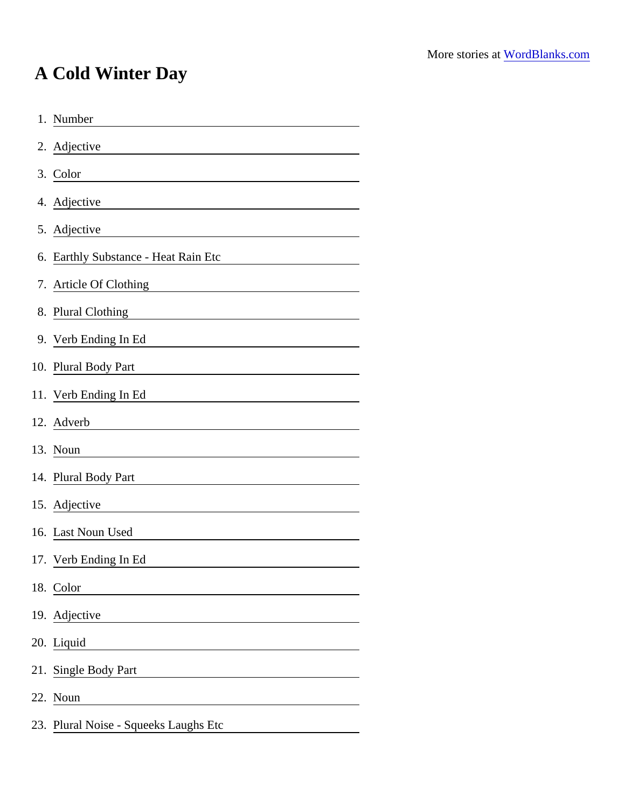## A Cold Winter Day

| 1. Number                                                                                                                                       |  |
|-------------------------------------------------------------------------------------------------------------------------------------------------|--|
| 2. Adjective<br><u> 1989 - Jan Samuel Barbara, martin d</u>                                                                                     |  |
| 3. Color<br><u> 1989 - Johann Stoff, deutscher Stoffen und der Stoffen und der Stoffen und der Stoffen und der Stoffen und der</u>              |  |
| 4. Adjective<br><u> 1989 - Johann Barn, mars eta bainar eta idazlea (</u>                                                                       |  |
| 5. Adjective<br><u> 1980 - Jan Samuel Barbara, politik eta politik eta politik eta politik eta politik eta politik eta politik e</u>            |  |
| 6. Earthly Substance - Heat Rain Etc                                                                                                            |  |
| 7. Article Of Clothing<br><u> 1989 - Johann Harry Harry Harry Harry Harry Harry Harry Harry Harry Harry Harry Harry Harry Harry Harry Harry</u> |  |
| 8. Plural Clothing                                                                                                                              |  |
| 9. Verb Ending In Ed                                                                                                                            |  |
| 10. Plural Body Part<br><u> 1989 - Johann Barn, mars eta bainar eta industrial eta baina eta baina eta baina eta baina eta baina eta bain</u>   |  |
| 11. Verb Ending In Ed<br><u> 1989 - Johann Harry Barn, mars ar breist fan de Fryske kommunent fan de Fryske kommunent fan de Fryske kommun</u>  |  |
| 12. Adverb                                                                                                                                      |  |
| 13. Noun                                                                                                                                        |  |
| 14. Plural Body Part<br><u> 1989 - Jan James Barnett, fransk politik (</u>                                                                      |  |
| 15. Adjective                                                                                                                                   |  |
| 16. Last Noun Used                                                                                                                              |  |
| 17. Verb Ending In Ed                                                                                                                           |  |
| 18. Color                                                                                                                                       |  |
| 19. Adjective                                                                                                                                   |  |
| 20. Liquid<br><u> 1980 - Johann Barn, mars ann an t-Amhain Aonaich an t-Aonaich an t-Aonaich an t-Aonaich an t-Aonaich an t-Aon</u>             |  |
| 21. Single Body Part                                                                                                                            |  |
| 22. Noun                                                                                                                                        |  |
| 23. Plural Noise - Squeeks Laughs Etc                                                                                                           |  |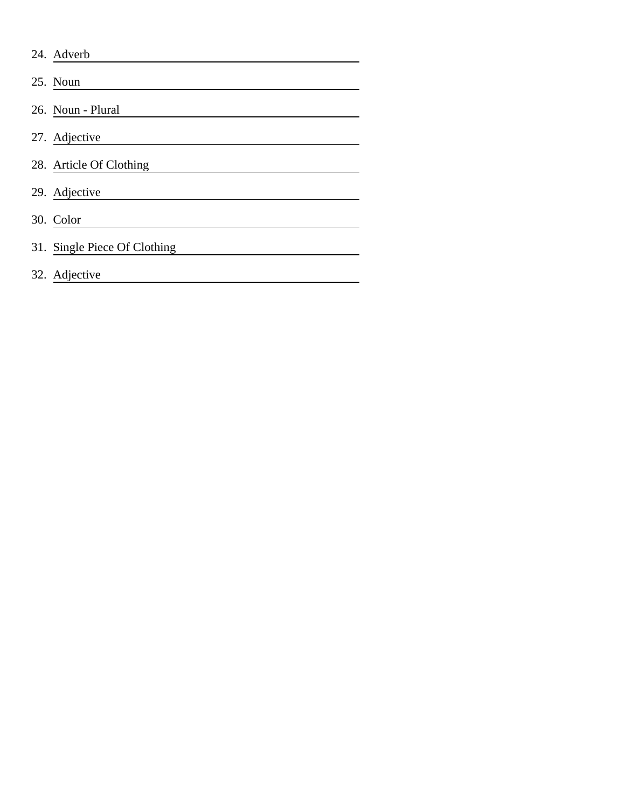| 24. Adverb                   |
|------------------------------|
| 25. Noun                     |
| 26. Noun - Plural            |
| 27. Adjective                |
| 28. Article Of Clothing      |
| 29. Adjective                |
| 30. Color                    |
| 31. Single Piece Of Clothing |
| 32. Adjective                |